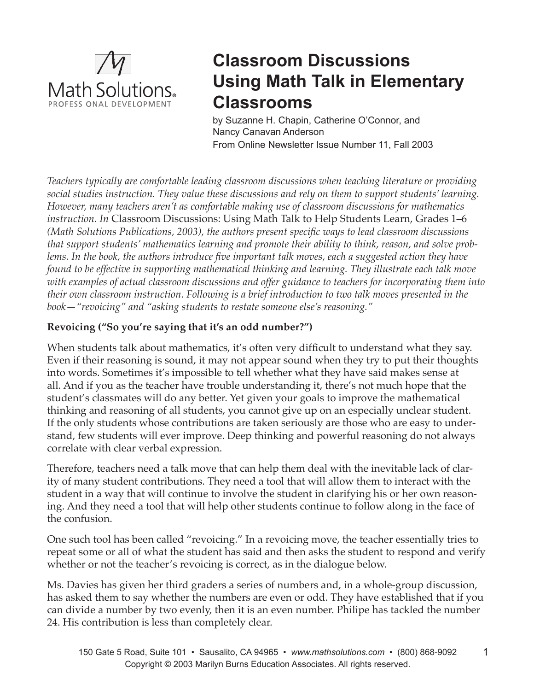

# **Classroom Discussions Using Math Talk in Elementary Classrooms**

by Suzanne H. Chapin, Catherine O'Connor, and Nancy Canavan Anderson From Online Newsletter Issue Number 11, Fall 2003

*Teachers typically are comfortable leading classroom discussions when teaching literature or providing social studies instruction. They value these discussions and rely on them to support students' learning. However, many teachers aren't as comfortable making use of classroom discussions for mathematics instruction. In* Classroom Discussions: Using Math Talk to Help Students Learn, Grades 1–6 *(Math Solutions Publications, 2003), the authors present specific ways to lead classroom discussions that support students' mathematics learning and promote their ability to think, reason, and solve problems. In the book, the authors introduce five important talk moves, each a suggested action they have found to be effective in supporting mathematical thinking and learning. They illustrate each talk move with examples of actual classroom discussions and offer guidance to teachers for incorporating them into their own classroom instruction. Following is a brief introduction to two talk moves presented in the book—"revoicing" and "asking students to restate someone else's reasoning."*

## **Revoicing ("So you're saying that it's an odd number?")**

When students talk about mathematics, it's often very difficult to understand what they say. Even if their reasoning is sound, it may not appear sound when they try to put their thoughts into words. Sometimes it's impossible to tell whether what they have said makes sense at all. And if you as the teacher have trouble understanding it, there's not much hope that the student's classmates will do any better. Yet given your goals to improve the mathematical thinking and reasoning of all students, you cannot give up on an especially unclear student. If the only students whose contributions are taken seriously are those who are easy to understand, few students will ever improve. Deep thinking and powerful reasoning do not always correlate with clear verbal expression.

Therefore, teachers need a talk move that can help them deal with the inevitable lack of clarity of many student contributions. They need a tool that will allow them to interact with the student in a way that will continue to involve the student in clarifying his or her own reasoning. And they need a tool that will help other students continue to follow along in the face of the confusion.

One such tool has been called "revoicing." In a revoicing move, the teacher essentially tries to repeat some or all of what the student has said and then asks the student to respond and verify whether or not the teacher's revoicing is correct, as in the dialogue below.

Ms. Davies has given her third graders a series of numbers and, in a whole-group discussion, has asked them to say whether the numbers are even or odd. They have established that if you can divide a number by two evenly, then it is an even number. Philipe has tackled the number 24. His contribution is less than completely clear.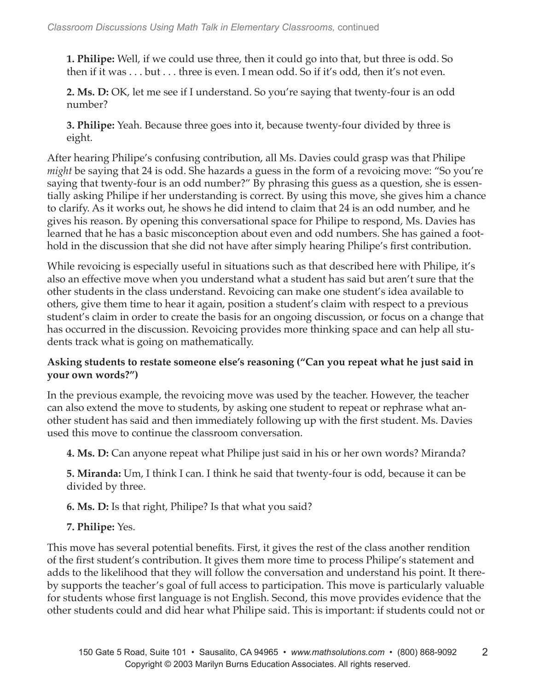**1. Philipe:** Well, if we could use three, then it could go into that, but three is odd. So then if it was . . . but . . . three is even. I mean odd. So if it's odd, then it's not even.

**2. Ms. D:** OK, let me see if I understand. So you're saying that twenty-four is an odd number?

**3. Philipe:** Yeah. Because three goes into it, because twenty-four divided by three is eight.

After hearing Philipe's confusing contribution, all Ms. Davies could grasp was that Philipe *might* be saying that 24 is odd. She hazards a guess in the form of a revoicing move: "So you're saying that twenty-four is an odd number?" By phrasing this guess as a question, she is essentially asking Philipe if her understanding is correct. By using this move, she gives him a chance to clarify. As it works out, he shows he did intend to claim that 24 is an odd number, and he gives his reason. By opening this conversational space for Philipe to respond, Ms. Davies has learned that he has a basic misconception about even and odd numbers. She has gained a foothold in the discussion that she did not have after simply hearing Philipe's first contribution.

While revoicing is especially useful in situations such as that described here with Philipe, it's also an effective move when you understand what a student has said but aren't sure that the other students in the class understand. Revoicing can make one student's idea available to others, give them time to hear it again, position a student's claim with respect to a previous student's claim in order to create the basis for an ongoing discussion, or focus on a change that has occurred in the discussion. Revoicing provides more thinking space and can help all students track what is going on mathematically.

### **Asking students to restate someone else's reasoning ("Can you repeat what he just said in your own words?")**

In the previous example, the revoicing move was used by the teacher. However, the teacher can also extend the move to students, by asking one student to repeat or rephrase what another student has said and then immediately following up with the first student. Ms. Davies used this move to continue the classroom conversation.

**4. Ms. D:** Can anyone repeat what Philipe just said in his or her own words? Miranda?

**5. Miranda:** Um, I think I can. I think he said that twenty-four is odd, because it can be divided by three.

**6. Ms. D:** Is that right, Philipe? Is that what you said?

## **7. Philipe:** Yes.

This move has several potential benefits. First, it gives the rest of the class another rendition of the first student's contribution. It gives them more time to process Philipe's statement and adds to the likelihood that they will follow the conversation and understand his point. It thereby supports the teacher's goal of full access to participation. This move is particularly valuable for students whose first language is not English. Second, this move provides evidence that the other students could and did hear what Philipe said. This is important: if students could not or